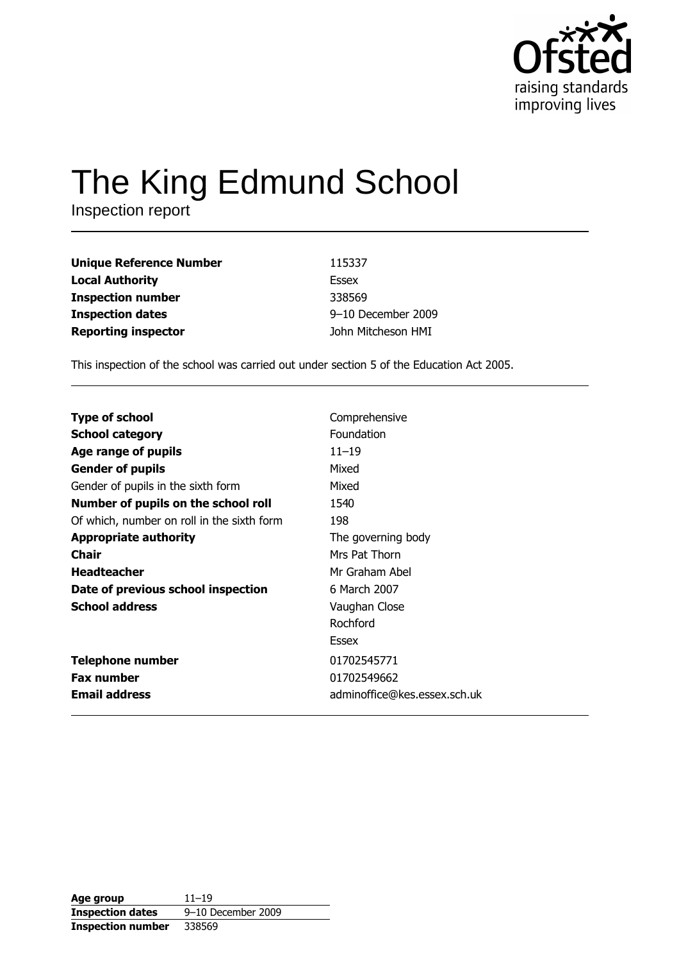

# The King Edmund School

Inspection report

| <b>Unique Reference Number</b> | 115337             |
|--------------------------------|--------------------|
| <b>Local Authority</b>         | Essex              |
| <b>Inspection number</b>       | 338569             |
| <b>Inspection dates</b>        | 9-10 December 2009 |
| <b>Reporting inspector</b>     | John Mitcheson HMI |

This inspection of the school was carried out under section 5 of the Education Act 2005.

| <b>Type of school</b>                      | Comprehensive                |
|--------------------------------------------|------------------------------|
| <b>School category</b>                     | Foundation                   |
| Age range of pupils                        | $11 - 19$                    |
| <b>Gender of pupils</b>                    | Mixed                        |
| Gender of pupils in the sixth form         | Mixed                        |
| Number of pupils on the school roll        | 1540                         |
| Of which, number on roll in the sixth form | 198                          |
| <b>Appropriate authority</b>               | The governing body           |
| Chair                                      | Mrs Pat Thorn                |
| <b>Headteacher</b>                         | Mr Graham Abel               |
| Date of previous school inspection         | 6 March 2007                 |
| <b>School address</b>                      | Vaughan Close                |
|                                            | Rochford                     |
|                                            | Essex                        |
| <b>Telephone number</b>                    | 01702545771                  |
| <b>Fax number</b>                          | 01702549662                  |
| <b>Email address</b>                       | adminoffice@kes.essex.sch.uk |

| Age group                | $11 - 19$          |
|--------------------------|--------------------|
| <b>Inspection dates</b>  | 9-10 December 2009 |
| <b>Inspection number</b> | 338569             |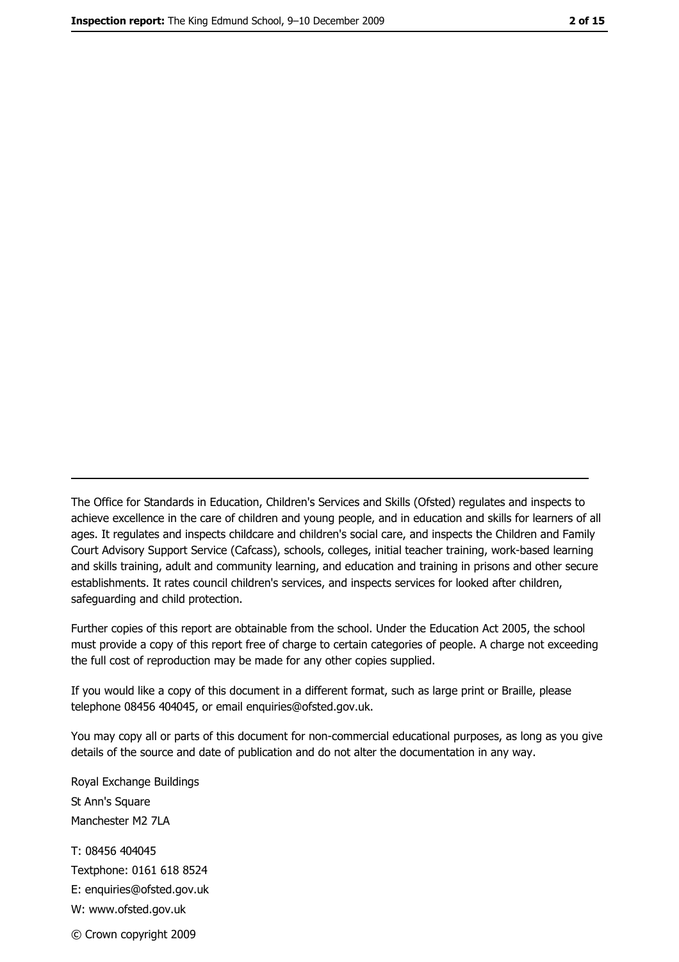The Office for Standards in Education, Children's Services and Skills (Ofsted) regulates and inspects to achieve excellence in the care of children and young people, and in education and skills for learners of all ages. It regulates and inspects childcare and children's social care, and inspects the Children and Family Court Advisory Support Service (Cafcass), schools, colleges, initial teacher training, work-based learning and skills training, adult and community learning, and education and training in prisons and other secure establishments. It rates council children's services, and inspects services for looked after children, safequarding and child protection.

Further copies of this report are obtainable from the school. Under the Education Act 2005, the school must provide a copy of this report free of charge to certain categories of people. A charge not exceeding the full cost of reproduction may be made for any other copies supplied.

If you would like a copy of this document in a different format, such as large print or Braille, please telephone 08456 404045, or email enquiries@ofsted.gov.uk.

You may copy all or parts of this document for non-commercial educational purposes, as long as you give details of the source and date of publication and do not alter the documentation in any way.

Royal Exchange Buildings St Ann's Square Manchester M2 7LA T: 08456 404045 Textphone: 0161 618 8524 E: enquiries@ofsted.gov.uk W: www.ofsted.gov.uk © Crown copyright 2009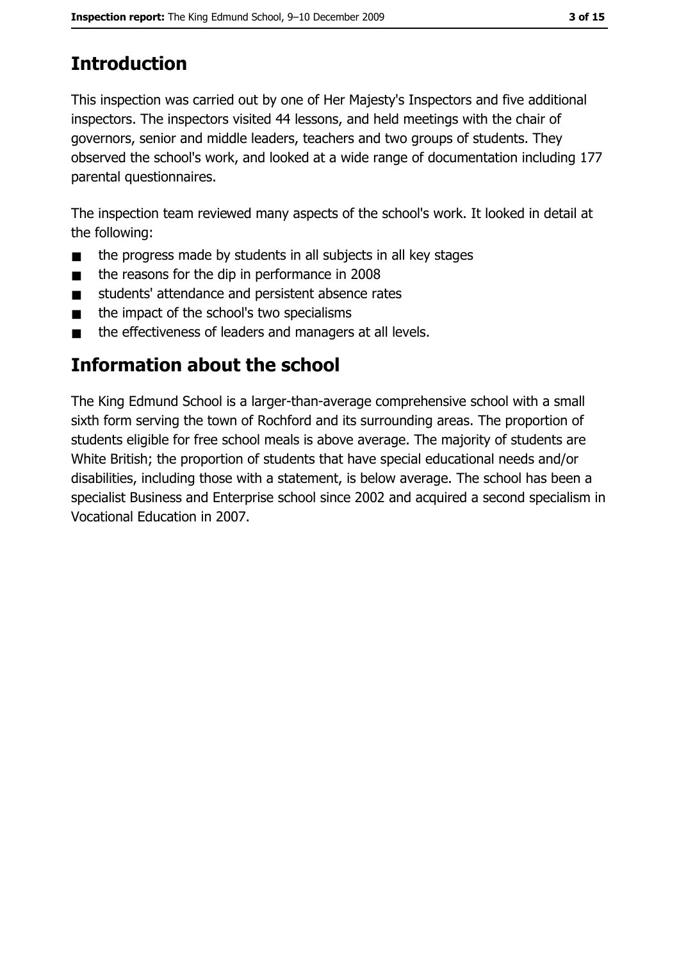# **Introduction**

This inspection was carried out by one of Her Majesty's Inspectors and five additional inspectors. The inspectors visited 44 lessons, and held meetings with the chair of governors, senior and middle leaders, teachers and two groups of students. They observed the school's work, and looked at a wide range of documentation including 177 parental questionnaires.

The inspection team reviewed many aspects of the school's work. It looked in detail at the following:

- the progress made by students in all subjects in all key stages  $\blacksquare$
- the reasons for the dip in performance in 2008  $\blacksquare$
- students' attendance and persistent absence rates  $\blacksquare$
- the impact of the school's two specialisms  $\blacksquare$
- the effectiveness of leaders and managers at all levels.  $\blacksquare$

# Information about the school

The King Edmund School is a larger-than-average comprehensive school with a small sixth form serving the town of Rochford and its surrounding areas. The proportion of students eligible for free school meals is above average. The majority of students are White British; the proportion of students that have special educational needs and/or disabilities, including those with a statement, is below average. The school has been a specialist Business and Enterprise school since 2002 and acquired a second specialism in Vocational Education in 2007.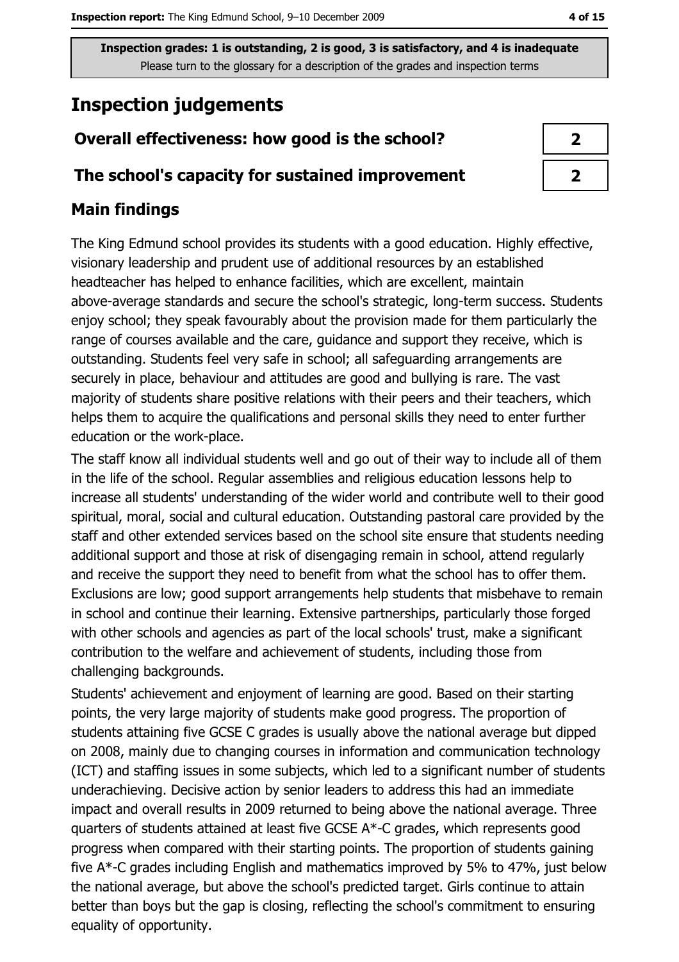# **Inspection judgements**

# Overall effectiveness: how good is the school?

## The school's capacity for sustained improvement

## **Main findings**

The King Edmund school provides its students with a good education. Highly effective, visionary leadership and prudent use of additional resources by an established headteacher has helped to enhance facilities, which are excellent, maintain above-average standards and secure the school's strategic, long-term success. Students enjoy school; they speak favourably about the provision made for them particularly the range of courses available and the care, guidance and support they receive, which is outstanding. Students feel very safe in school; all safeguarding arrangements are securely in place, behaviour and attitudes are good and bullying is rare. The vast majority of students share positive relations with their peers and their teachers, which helps them to acquire the qualifications and personal skills they need to enter further education or the work-place.

The staff know all individual students well and go out of their way to include all of them in the life of the school. Regular assemblies and religious education lessons help to increase all students' understanding of the wider world and contribute well to their good spiritual, moral, social and cultural education. Outstanding pastoral care provided by the staff and other extended services based on the school site ensure that students needing additional support and those at risk of disengaging remain in school, attend regularly and receive the support they need to benefit from what the school has to offer them. Exclusions are low; good support arrangements help students that misbehave to remain in school and continue their learning. Extensive partnerships, particularly those forged with other schools and agencies as part of the local schools' trust, make a significant contribution to the welfare and achievement of students, including those from challenging backgrounds.

Students' achievement and enjoyment of learning are good. Based on their starting points, the very large majority of students make good progress. The proportion of students attaining five GCSE C grades is usually above the national average but dipped on 2008, mainly due to changing courses in information and communication technology (ICT) and staffing issues in some subjects, which led to a significant number of students underachieving. Decisive action by senior leaders to address this had an immediate impact and overall results in 2009 returned to being above the national average. Three quarters of students attained at least five GCSE A\*-C grades, which represents good progress when compared with their starting points. The proportion of students gaining five A\*-C grades including English and mathematics improved by 5% to 47%, just below the national average, but above the school's predicted target. Girls continue to attain better than boys but the gap is closing, reflecting the school's commitment to ensuring equality of opportunity.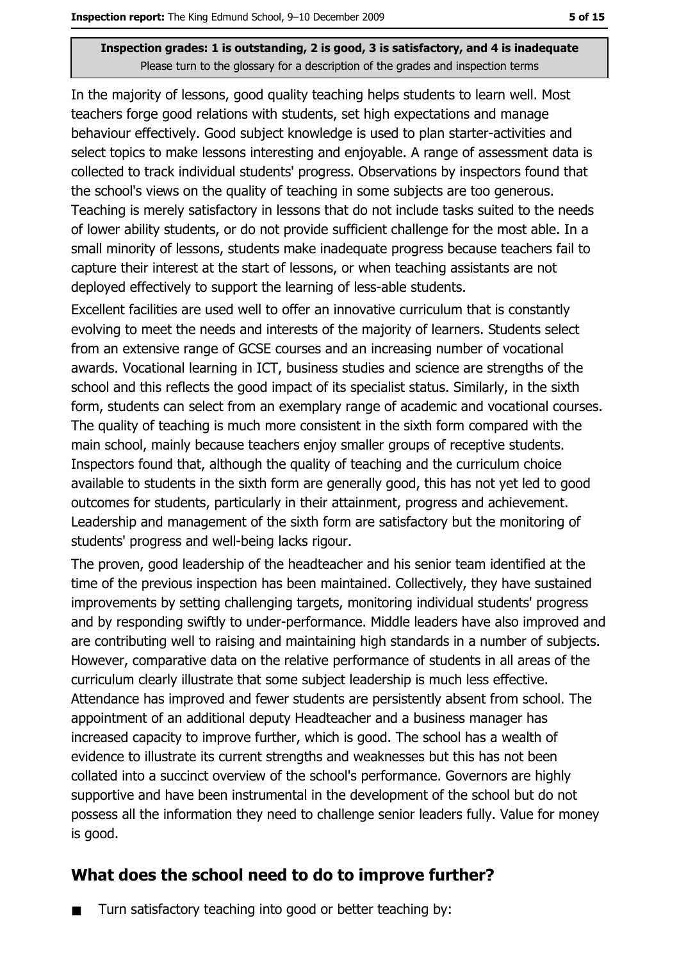In the majority of lessons, good quality teaching helps students to learn well. Most teachers forge good relations with students, set high expectations and manage behaviour effectively. Good subject knowledge is used to plan starter-activities and select topics to make lessons interesting and enjoyable. A range of assessment data is collected to track individual students' progress. Observations by inspectors found that the school's views on the quality of teaching in some subjects are too generous. Teaching is merely satisfactory in lessons that do not include tasks suited to the needs of lower ability students, or do not provide sufficient challenge for the most able. In a small minority of lessons, students make inadequate progress because teachers fail to capture their interest at the start of lessons, or when teaching assistants are not deployed effectively to support the learning of less-able students.

Excellent facilities are used well to offer an innovative curriculum that is constantly evolving to meet the needs and interests of the majority of learners. Students select from an extensive range of GCSE courses and an increasing number of vocational awards. Vocational learning in ICT, business studies and science are strengths of the school and this reflects the good impact of its specialist status. Similarly, in the sixth form, students can select from an exemplary range of academic and vocational courses. The quality of teaching is much more consistent in the sixth form compared with the main school, mainly because teachers enjoy smaller groups of receptive students. Inspectors found that, although the quality of teaching and the curriculum choice available to students in the sixth form are generally good, this has not yet led to good outcomes for students, particularly in their attainment, progress and achievement. Leadership and management of the sixth form are satisfactory but the monitoring of students' progress and well-being lacks rigour.

The proven, good leadership of the headteacher and his senior team identified at the time of the previous inspection has been maintained. Collectively, they have sustained improvements by setting challenging targets, monitoring individual students' progress and by responding swiftly to under-performance. Middle leaders have also improved and are contributing well to raising and maintaining high standards in a number of subjects. However, comparative data on the relative performance of students in all areas of the curriculum clearly illustrate that some subject leadership is much less effective. Attendance has improved and fewer students are persistently absent from school. The appointment of an additional deputy Headteacher and a business manager has increased capacity to improve further, which is good. The school has a wealth of evidence to illustrate its current strengths and weaknesses but this has not been collated into a succinct overview of the school's performance. Governors are highly supportive and have been instrumental in the development of the school but do not possess all the information they need to challenge senior leaders fully. Value for money is good.

## What does the school need to do to improve further?

Turn satisfactory teaching into good or better teaching by:  $\blacksquare$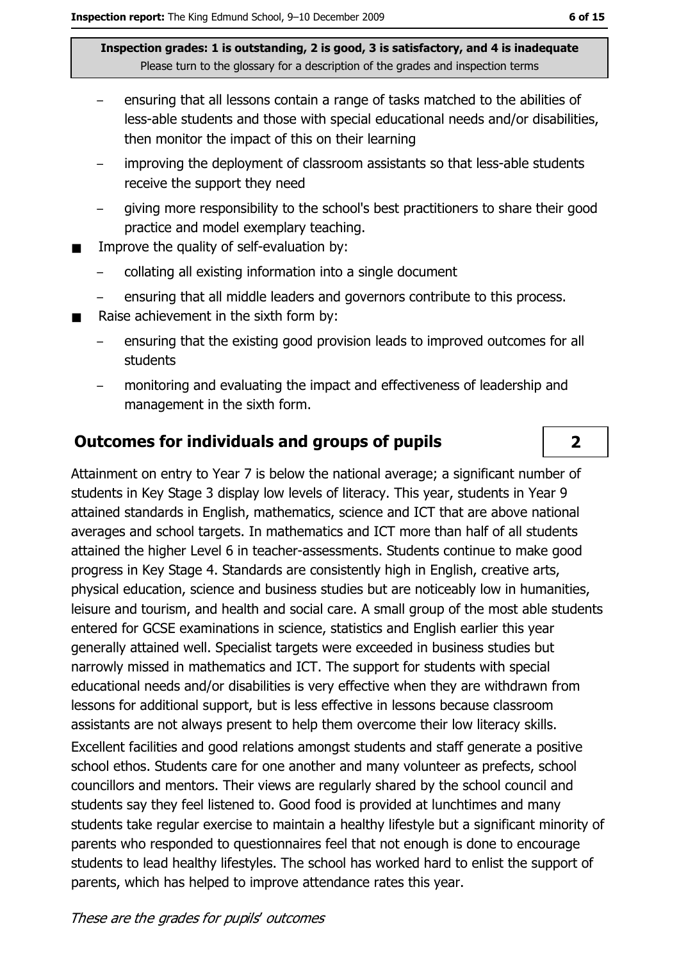- ensuring that all lessons contain a range of tasks matched to the abilities of less-able students and those with special educational needs and/or disabilities, then monitor the impact of this on their learning
- improving the deployment of classroom assistants so that less-able students receive the support they need
- giving more responsibility to the school's best practitioners to share their good  $$ practice and model exemplary teaching.
- Improve the quality of self-evaluation by:  $\blacksquare$ 
	- collating all existing information into a single document
	- ensuring that all middle leaders and governors contribute to this process.
- Raise achievement in the sixth form by:  $\blacksquare$ 
	- ensuring that the existing good provision leads to improved outcomes for all  $\overline{a}$ **students**
	- monitoring and evaluating the impact and effectiveness of leadership and management in the sixth form.

## **Outcomes for individuals and groups of pupils**

Attainment on entry to Year 7 is below the national average; a significant number of students in Key Stage 3 display low levels of literacy. This year, students in Year 9 attained standards in English, mathematics, science and ICT that are above national averages and school targets. In mathematics and ICT more than half of all students attained the higher Level 6 in teacher-assessments. Students continue to make good progress in Key Stage 4. Standards are consistently high in English, creative arts, physical education, science and business studies but are noticeably low in humanities, leisure and tourism, and health and social care. A small group of the most able students entered for GCSE examinations in science, statistics and English earlier this year generally attained well. Specialist targets were exceeded in business studies but narrowly missed in mathematics and ICT. The support for students with special educational needs and/or disabilities is very effective when they are withdrawn from lessons for additional support, but is less effective in lessons because classroom assistants are not always present to help them overcome their low literacy skills. Excellent facilities and good relations amongst students and staff generate a positive school ethos. Students care for one another and many volunteer as prefects, school councillors and mentors. Their views are regularly shared by the school council and students say they feel listened to. Good food is provided at lunchtimes and many students take regular exercise to maintain a healthy lifestyle but a significant minority of parents who responded to questionnaires feel that not enough is done to encourage students to lead healthy lifestyles. The school has worked hard to enlist the support of parents, which has helped to improve attendance rates this year.

 $2<sup>1</sup>$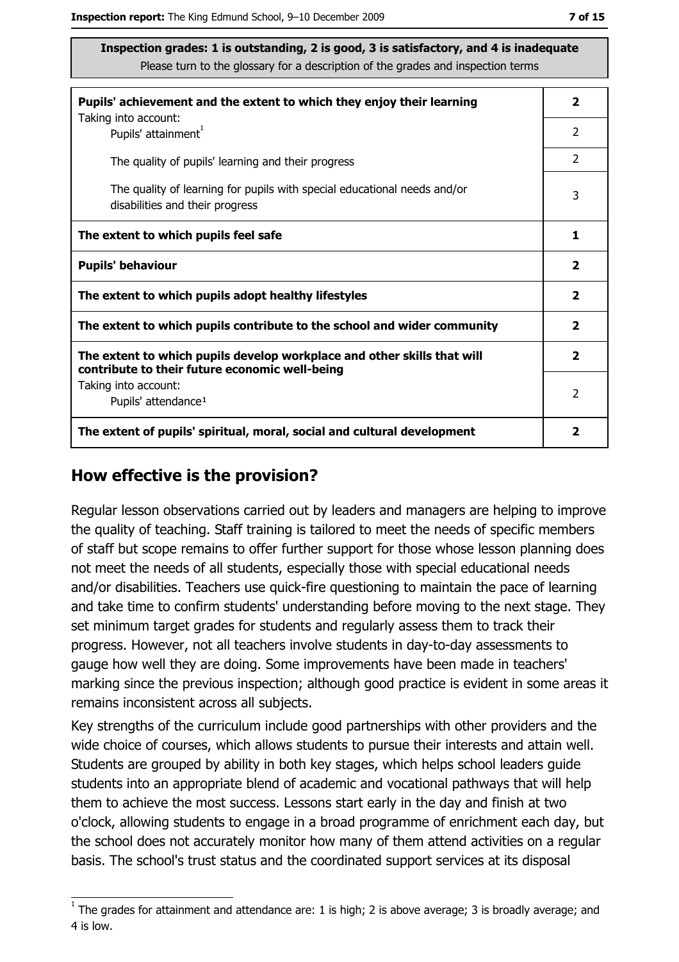| Pupils' achievement and the extent to which they enjoy their learning                                                     |                         |
|---------------------------------------------------------------------------------------------------------------------------|-------------------------|
| Taking into account:<br>Pupils' attainment <sup>1</sup>                                                                   | 2                       |
| The quality of pupils' learning and their progress                                                                        | $\mathcal{P}$           |
| The quality of learning for pupils with special educational needs and/or<br>disabilities and their progress               | 3                       |
| The extent to which pupils feel safe                                                                                      | 1                       |
| <b>Pupils' behaviour</b>                                                                                                  | $\overline{\mathbf{2}}$ |
| The extent to which pupils adopt healthy lifestyles                                                                       | $\mathbf{2}$            |
| The extent to which pupils contribute to the school and wider community                                                   |                         |
| The extent to which pupils develop workplace and other skills that will<br>contribute to their future economic well-being | $\overline{\mathbf{2}}$ |
| Taking into account:                                                                                                      | $\mathcal{P}$           |
| Pupils' attendance <sup>1</sup>                                                                                           |                         |
| The extent of pupils' spiritual, moral, social and cultural development                                                   | 2                       |

#### How effective is the provision?

Regular lesson observations carried out by leaders and managers are helping to improve the quality of teaching. Staff training is tailored to meet the needs of specific members of staff but scope remains to offer further support for those whose lesson planning does not meet the needs of all students, especially those with special educational needs and/or disabilities. Teachers use quick-fire questioning to maintain the pace of learning and take time to confirm students' understanding before moving to the next stage. They set minimum target grades for students and regularly assess them to track their progress. However, not all teachers involve students in day-to-day assessments to gauge how well they are doing. Some improvements have been made in teachers' marking since the previous inspection; although good practice is evident in some areas it remains inconsistent across all subjects.

Key strengths of the curriculum include good partnerships with other providers and the wide choice of courses, which allows students to pursue their interests and attain well. Students are grouped by ability in both key stages, which helps school leaders guide students into an appropriate blend of academic and vocational pathways that will help them to achieve the most success. Lessons start early in the day and finish at two o'clock, allowing students to engage in a broad programme of enrichment each day, but the school does not accurately monitor how many of them attend activities on a regular basis. The school's trust status and the coordinated support services at its disposal

 $1$  The arades for attainment and attendance are: 1 is high; 2 is above average; 3 is broadly average; and 4 is low.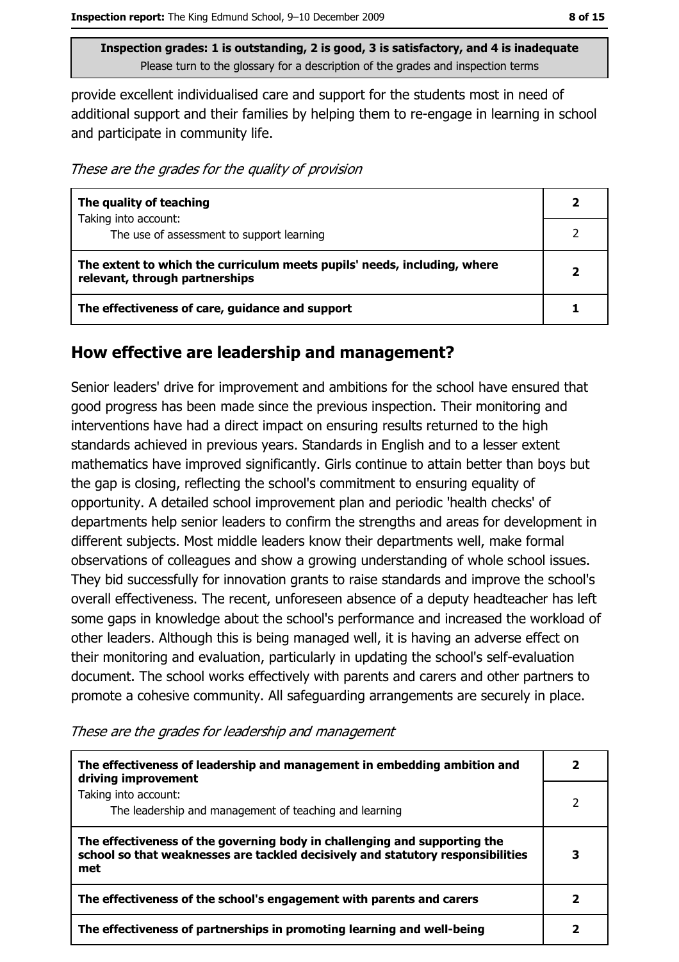provide excellent individualised care and support for the students most in need of additional support and their families by helping them to re-engage in learning in school and participate in community life.

These are the grades for the quality of provision

| The quality of teaching                                                                                    |  |
|------------------------------------------------------------------------------------------------------------|--|
| Taking into account:<br>The use of assessment to support learning                                          |  |
| The extent to which the curriculum meets pupils' needs, including, where<br>relevant, through partnerships |  |
| The effectiveness of care, guidance and support                                                            |  |

## How effective are leadership and management?

Senior leaders' drive for improvement and ambitions for the school have ensured that good progress has been made since the previous inspection. Their monitoring and interventions have had a direct impact on ensuring results returned to the high standards achieved in previous years. Standards in English and to a lesser extent mathematics have improved significantly. Girls continue to attain better than boys but the gap is closing, reflecting the school's commitment to ensuring equality of opportunity. A detailed school improvement plan and periodic 'health checks' of departments help senior leaders to confirm the strengths and areas for development in different subjects. Most middle leaders know their departments well, make formal observations of colleagues and show a growing understanding of whole school issues. They bid successfully for innovation grants to raise standards and improve the school's overall effectiveness. The recent, unforeseen absence of a deputy headteacher has left some gaps in knowledge about the school's performance and increased the workload of other leaders. Although this is being managed well, it is having an adverse effect on their monitoring and evaluation, particularly in updating the school's self-evaluation document. The school works effectively with parents and carers and other partners to promote a cohesive community. All safeguarding arrangements are securely in place.

| The effectiveness of leadership and management in embedding ambition and<br>driving improvement                                                                     |  |
|---------------------------------------------------------------------------------------------------------------------------------------------------------------------|--|
| Taking into account:<br>The leadership and management of teaching and learning                                                                                      |  |
| The effectiveness of the governing body in challenging and supporting the<br>school so that weaknesses are tackled decisively and statutory responsibilities<br>met |  |
| The effectiveness of the school's engagement with parents and carers                                                                                                |  |
| The effectiveness of partnerships in promoting learning and well-being                                                                                              |  |

These are the grades for leadership and management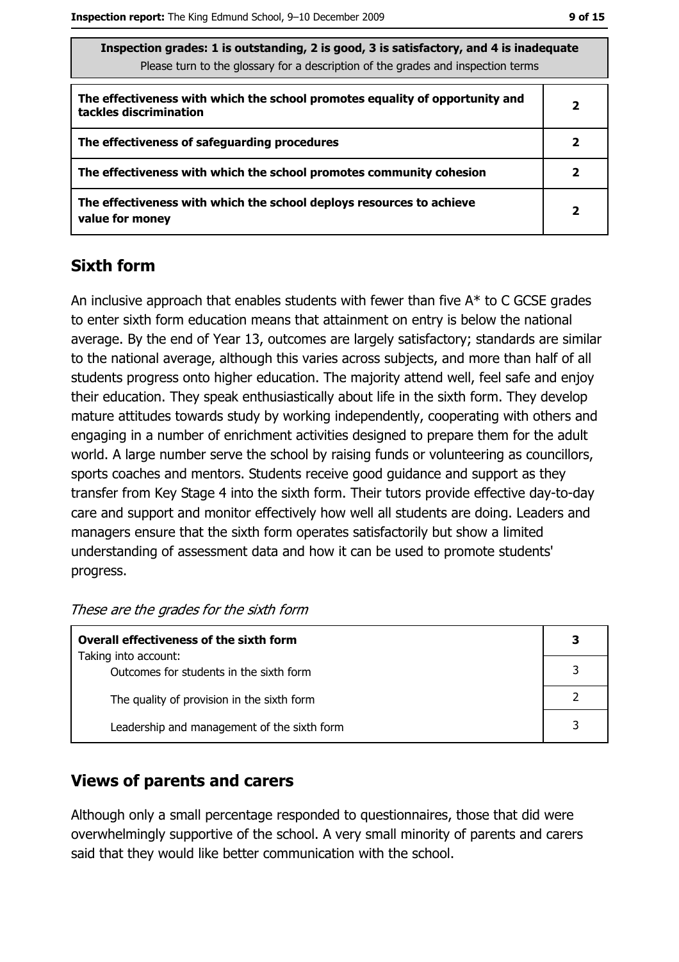| Inspection grades: I is outstanding, 2 is good, 5 is satisfactory, and 4 is madequate<br>Please turn to the glossary for a description of the grades and inspection terms |              |
|---------------------------------------------------------------------------------------------------------------------------------------------------------------------------|--------------|
| The effectiveness with which the school promotes equality of opportunity and<br>tackles discrimination                                                                    | $\mathbf{2}$ |
| The effectiveness of safeguarding procedures                                                                                                                              | 2            |
| The effectiveness with which the school promotes community cohesion                                                                                                       | 2            |
| The effectiveness with which the school deploys resources to achieve<br>value for money                                                                                   | $\mathbf{2}$ |

#### **Sixth form**

An inclusive approach that enables students with fewer than five  $A^*$  to C GCSE grades to enter sixth form education means that attainment on entry is below the national average. By the end of Year 13, outcomes are largely satisfactory; standards are similar to the national average, although this varies across subjects, and more than half of all students progress onto higher education. The majority attend well, feel safe and enjoy their education. They speak enthusiastically about life in the sixth form. They develop mature attitudes towards study by working independently, cooperating with others and engaging in a number of enrichment activities designed to prepare them for the adult world. A large number serve the school by raising funds or volunteering as councillors, sports coaches and mentors. Students receive good guidance and support as they transfer from Key Stage 4 into the sixth form. Their tutors provide effective day-to-day care and support and monitor effectively how well all students are doing. Leaders and managers ensure that the sixth form operates satisfactorily but show a limited understanding of assessment data and how it can be used to promote students' progress.

These are the grades for the sixth form

| <b>Overall effectiveness of the sixth form</b>                  |  |  |
|-----------------------------------------------------------------|--|--|
| Taking into account:<br>Outcomes for students in the sixth form |  |  |
| The quality of provision in the sixth form                      |  |  |
| Leadership and management of the sixth form                     |  |  |

### **Views of parents and carers**

Although only a small percentage responded to questionnaires, those that did were overwhelmingly supportive of the school. A very small minority of parents and carers said that they would like better communication with the school.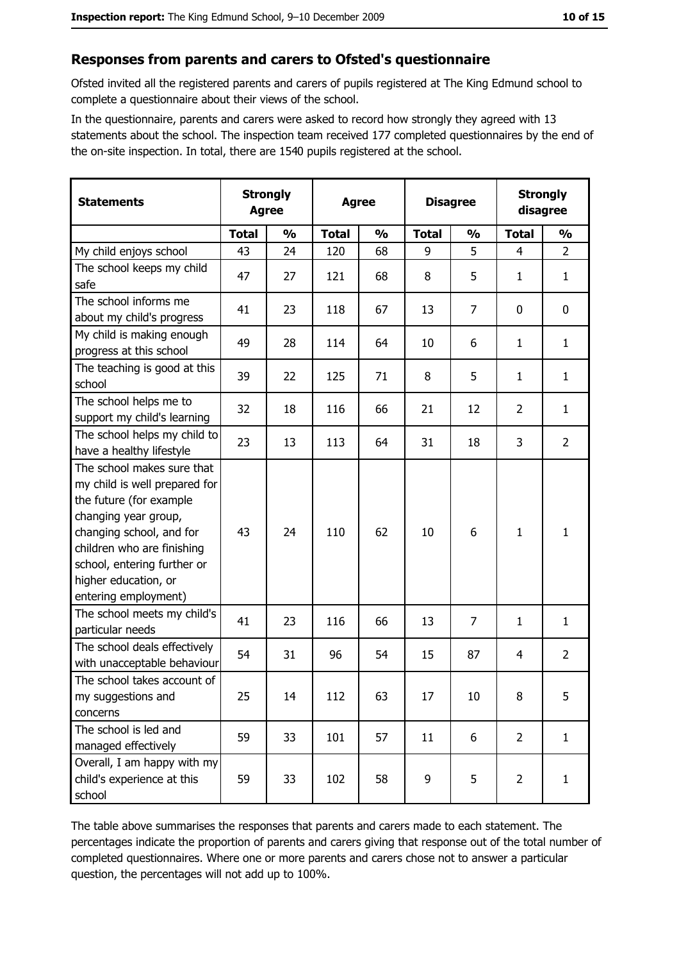## Responses from parents and carers to Ofsted's questionnaire

Ofsted invited all the registered parents and carers of pupils registered at The King Edmund school to complete a questionnaire about their views of the school.

In the questionnaire, parents and carers were asked to record how strongly they agreed with 13 statements about the school. The inspection team received 177 completed questionnaires by the end of the on-site inspection. In total, there are 1540 pupils registered at the school.

| <b>Statements</b>                                                                                                                                                                                                                                       | <b>Strongly</b><br><b>Agree</b> |               | <b>Agree</b> |               | <b>Disagree</b> |                | <b>Strongly</b><br>disagree |                |
|---------------------------------------------------------------------------------------------------------------------------------------------------------------------------------------------------------------------------------------------------------|---------------------------------|---------------|--------------|---------------|-----------------|----------------|-----------------------------|----------------|
|                                                                                                                                                                                                                                                         | <b>Total</b>                    | $\frac{0}{0}$ | <b>Total</b> | $\frac{0}{0}$ | <b>Total</b>    | $\frac{0}{0}$  | <b>Total</b>                | $\frac{0}{0}$  |
| My child enjoys school                                                                                                                                                                                                                                  | 43                              | 24            | 120          | 68            | 9               | 5              | 4                           | $\overline{2}$ |
| The school keeps my child<br>safe                                                                                                                                                                                                                       | 47                              | 27            | 121          | 68            | 8               | 5              | 1                           | $\mathbf{1}$   |
| The school informs me<br>about my child's progress                                                                                                                                                                                                      | 41                              | 23            | 118          | 67            | 13              | $\overline{7}$ | 0                           | 0              |
| My child is making enough<br>progress at this school                                                                                                                                                                                                    | 49                              | 28            | 114          | 64            | 10              | 6              | $\mathbf{1}$                | $\mathbf{1}$   |
| The teaching is good at this<br>school                                                                                                                                                                                                                  | 39                              | 22            | 125          | 71            | 8               | 5              | 1                           | $\mathbf{1}$   |
| The school helps me to<br>support my child's learning                                                                                                                                                                                                   | 32                              | 18            | 116          | 66            | 21              | 12             | $\overline{2}$              | $\mathbf{1}$   |
| The school helps my child to<br>have a healthy lifestyle                                                                                                                                                                                                | 23                              | 13            | 113          | 64            | 31              | 18             | 3                           | $\overline{2}$ |
| The school makes sure that<br>my child is well prepared for<br>the future (for example<br>changing year group,<br>changing school, and for<br>children who are finishing<br>school, entering further or<br>higher education, or<br>entering employment) | 43                              | 24            | 110          | 62            | 10              | 6              | 1                           | $\mathbf{1}$   |
| The school meets my child's<br>particular needs                                                                                                                                                                                                         | 41                              | 23            | 116          | 66            | 13              | $\overline{7}$ | 1                           | $\mathbf{1}$   |
| The school deals effectively<br>with unacceptable behaviour                                                                                                                                                                                             | 54                              | 31            | 96           | 54            | 15              | 87             | 4                           | $\overline{2}$ |
| The school takes account of<br>my suggestions and<br>concerns                                                                                                                                                                                           | 25                              | 14            | 112          | 63            | 17              | 10             | 8                           | 5              |
| The school is led and<br>managed effectively                                                                                                                                                                                                            | 59                              | 33            | 101          | 57            | 11              | 6              | $\overline{2}$              | $\mathbf{1}$   |
| Overall, I am happy with my<br>child's experience at this<br>school                                                                                                                                                                                     | 59                              | 33            | 102          | 58            | 9               | 5              | $\overline{2}$              | $\mathbf{1}$   |

The table above summarises the responses that parents and carers made to each statement. The percentages indicate the proportion of parents and carers giving that response out of the total number of completed questionnaires. Where one or more parents and carers chose not to answer a particular question, the percentages will not add up to 100%.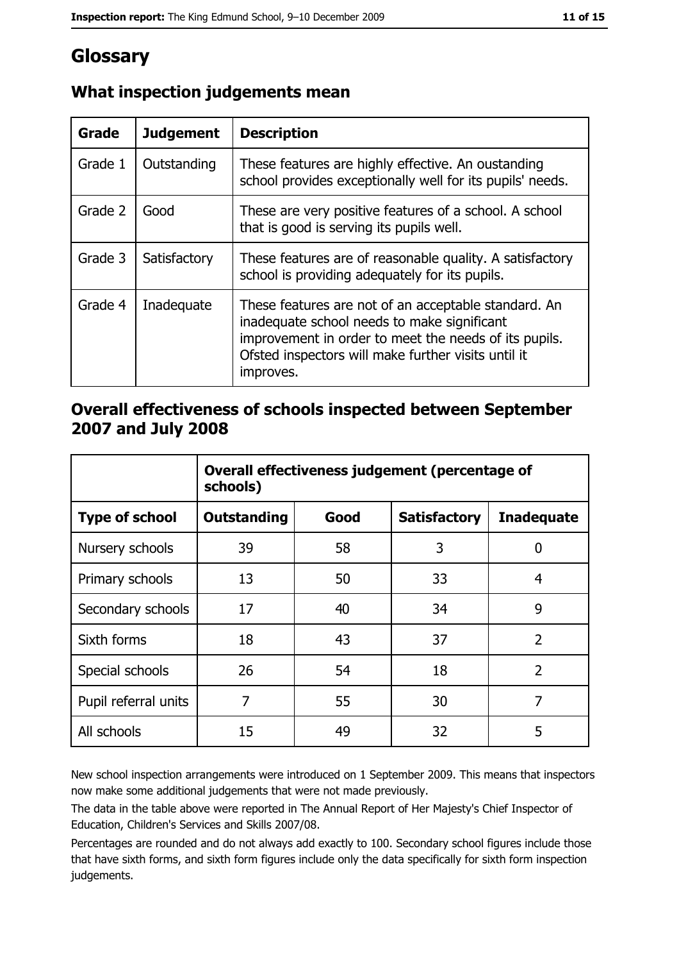# Glossary

| Grade   | <b>Judgement</b> | <b>Description</b>                                                                                                                                                                                                               |
|---------|------------------|----------------------------------------------------------------------------------------------------------------------------------------------------------------------------------------------------------------------------------|
| Grade 1 | Outstanding      | These features are highly effective. An oustanding<br>school provides exceptionally well for its pupils' needs.                                                                                                                  |
| Grade 2 | Good             | These are very positive features of a school. A school<br>that is good is serving its pupils well.                                                                                                                               |
| Grade 3 | Satisfactory     | These features are of reasonable quality. A satisfactory<br>school is providing adequately for its pupils.                                                                                                                       |
| Grade 4 | Inadequate       | These features are not of an acceptable standard. An<br>inadequate school needs to make significant<br>improvement in order to meet the needs of its pupils.<br>Ofsted inspectors will make further visits until it<br>improves. |

# What inspection judgements mean

# Overall effectiveness of schools inspected between September 2007 and July 2008

|                       | Overall effectiveness judgement (percentage of<br>schools) |      |                     |                   |
|-----------------------|------------------------------------------------------------|------|---------------------|-------------------|
| <b>Type of school</b> | <b>Outstanding</b>                                         | Good | <b>Satisfactory</b> | <b>Inadequate</b> |
| Nursery schools       | 39                                                         | 58   | 3                   | 0                 |
| Primary schools       | 13                                                         | 50   | 33                  | 4                 |
| Secondary schools     | 17                                                         | 40   | 34                  | 9                 |
| Sixth forms           | 18                                                         | 43   | 37                  | $\overline{2}$    |
| Special schools       | 26                                                         | 54   | 18                  | $\overline{2}$    |
| Pupil referral units  | 7                                                          | 55   | 30                  | 7                 |
| All schools           | 15                                                         | 49   | 32                  | 5                 |

New school inspection arrangements were introduced on 1 September 2009. This means that inspectors now make some additional judgements that were not made previously.

The data in the table above were reported in The Annual Report of Her Majesty's Chief Inspector of Education, Children's Services and Skills 2007/08.

Percentages are rounded and do not always add exactly to 100. Secondary school figures include those that have sixth forms, and sixth form figures include only the data specifically for sixth form inspection judgements.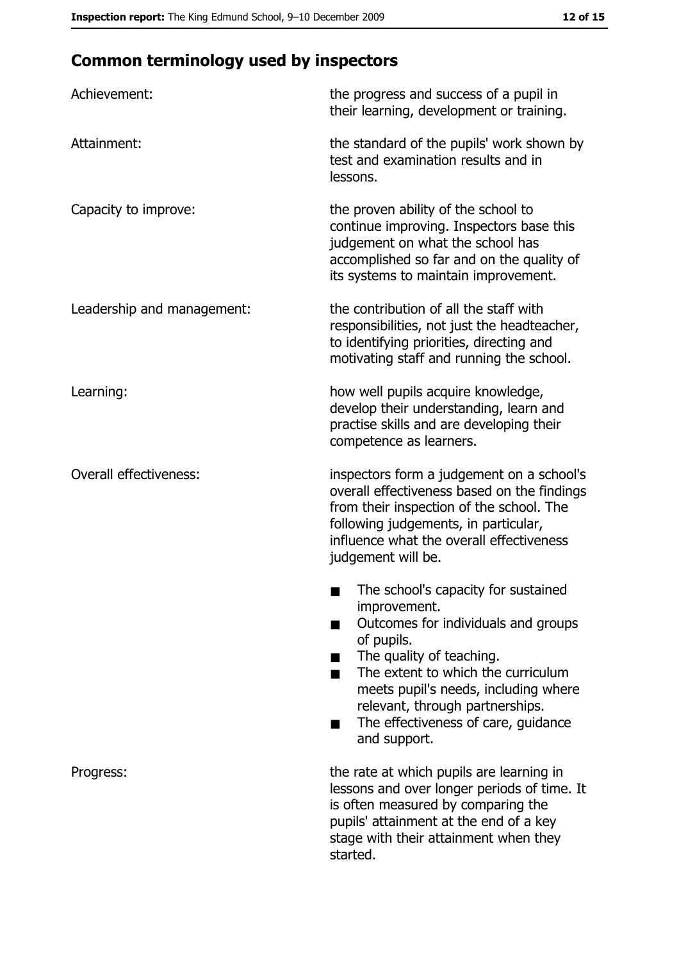# **Common terminology used by inspectors**

| Achievement:                  | the progress and success of a pupil in<br>their learning, development or training.                                                                                                                                                                                                                           |
|-------------------------------|--------------------------------------------------------------------------------------------------------------------------------------------------------------------------------------------------------------------------------------------------------------------------------------------------------------|
| Attainment:                   | the standard of the pupils' work shown by<br>test and examination results and in<br>lessons.                                                                                                                                                                                                                 |
| Capacity to improve:          | the proven ability of the school to<br>continue improving. Inspectors base this<br>judgement on what the school has<br>accomplished so far and on the quality of<br>its systems to maintain improvement.                                                                                                     |
| Leadership and management:    | the contribution of all the staff with<br>responsibilities, not just the headteacher,<br>to identifying priorities, directing and<br>motivating staff and running the school.                                                                                                                                |
| Learning:                     | how well pupils acquire knowledge,<br>develop their understanding, learn and<br>practise skills and are developing their<br>competence as learners.                                                                                                                                                          |
| <b>Overall effectiveness:</b> | inspectors form a judgement on a school's<br>overall effectiveness based on the findings<br>from their inspection of the school. The<br>following judgements, in particular,<br>influence what the overall effectiveness<br>judgement will be.                                                               |
|                               | The school's capacity for sustained<br>improvement.<br>Outcomes for individuals and groups<br>of pupils.<br>The quality of teaching.<br>The extent to which the curriculum<br>meets pupil's needs, including where<br>relevant, through partnerships.<br>The effectiveness of care, guidance<br>and support. |
| Progress:                     | the rate at which pupils are learning in<br>lessons and over longer periods of time. It<br>is often measured by comparing the<br>pupils' attainment at the end of a key<br>stage with their attainment when they<br>started.                                                                                 |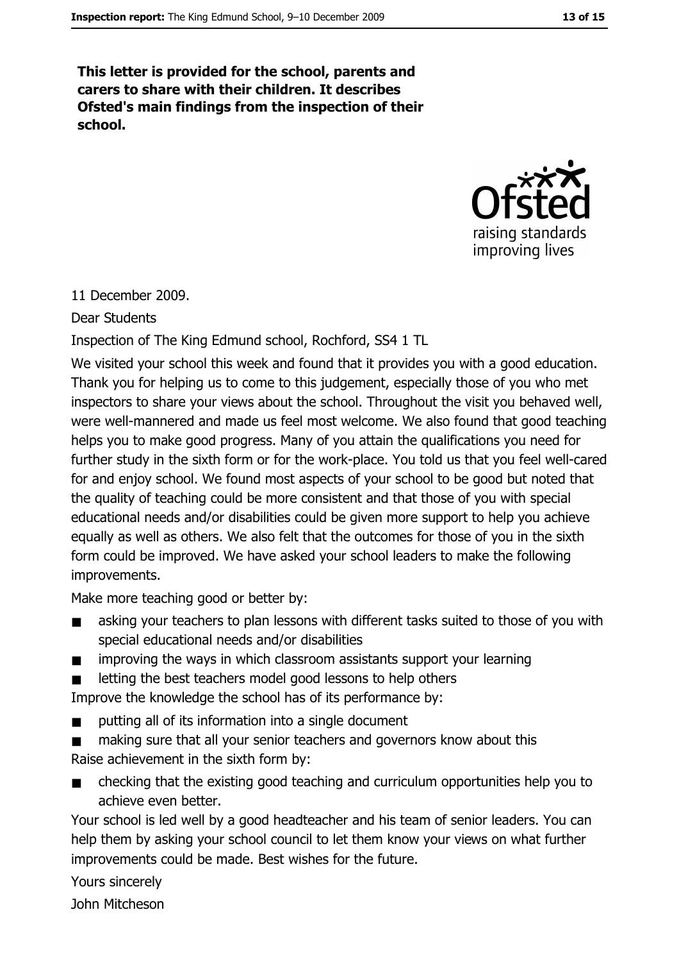This letter is provided for the school, parents and carers to share with their children. It describes Ofsted's main findings from the inspection of their school.



11 December 2009.

#### Dear Students

Inspection of The King Edmund school, Rochford, SS4 1 TL

We visited your school this week and found that it provides you with a good education. Thank you for helping us to come to this judgement, especially those of you who met inspectors to share your views about the school. Throughout the visit you behaved well, were well-mannered and made us feel most welcome. We also found that good teaching helps you to make good progress. Many of you attain the qualifications you need for further study in the sixth form or for the work-place. You told us that you feel well-cared for and enjoy school. We found most aspects of your school to be good but noted that the quality of teaching could be more consistent and that those of you with special educational needs and/or disabilities could be given more support to help you achieve equally as well as others. We also felt that the outcomes for those of you in the sixth form could be improved. We have asked your school leaders to make the following improvements.

Make more teaching good or better by:

- asking your teachers to plan lessons with different tasks suited to those of you with  $\blacksquare$ special educational needs and/or disabilities
- improving the ways in which classroom assistants support your learning  $\blacksquare$

letting the best teachers model good lessons to help others  $\blacksquare$ 

Improve the knowledge the school has of its performance by:

- putting all of its information into a single document  $\blacksquare$
- making sure that all your senior teachers and governors know about this  $\blacksquare$ Raise achievement in the sixth form by:
- checking that the existing good teaching and curriculum opportunities help you to  $\blacksquare$ achieve even better.

Your school is led well by a good headteacher and his team of senior leaders. You can help them by asking your school council to let them know your views on what further improvements could be made. Best wishes for the future.

Yours sincerely John Mitcheson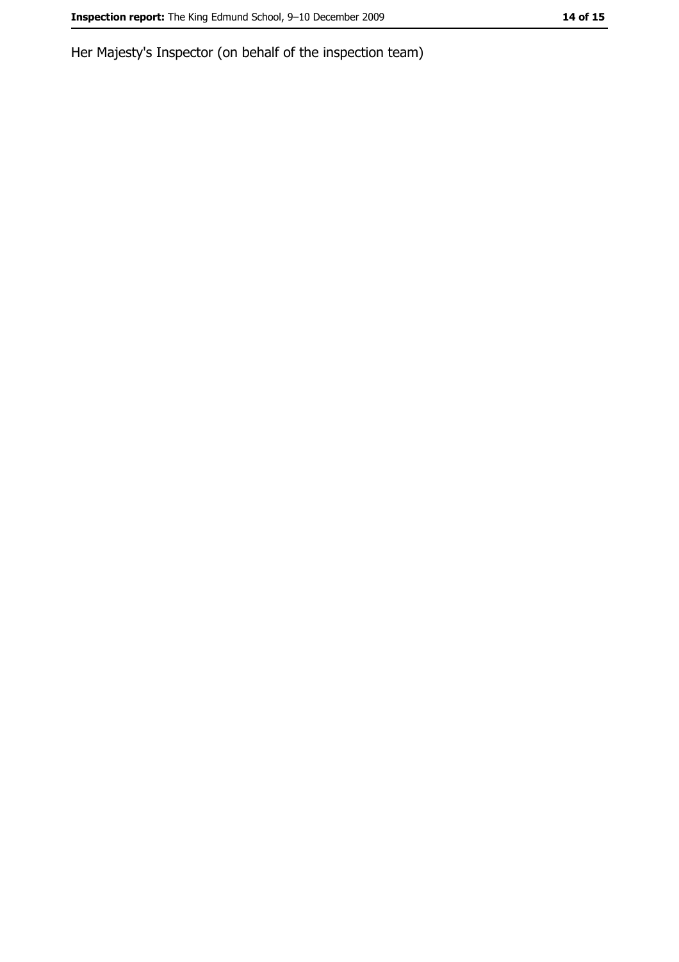Her Majesty's Inspector (on behalf of the inspection team)